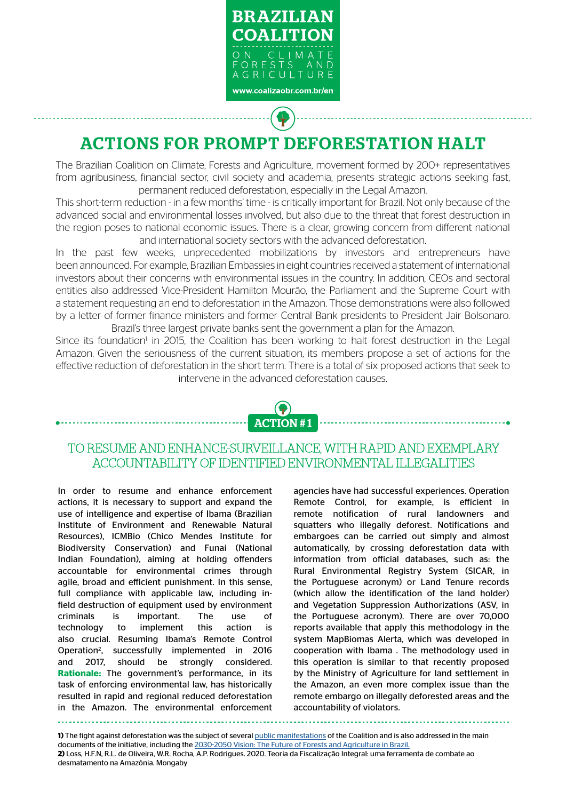

# ACTIONS FOR PROMPT DEFORESTATION HALT

The Brazilian Coalition on Climate, Forests and Agriculture, movement formed by 200+ representatives from agribusiness, financial sector, civil society and academia, presents strategic actions seeking fast, permanent reduced deforestation, especially in the Legal Amazon.

This short-term reduction - in a few months' time - is critically important for Brazil. Not only because of the advanced social and environmental losses involved, but also due to the threat that forest destruction in the region poses to national economic issues. There is a clear, growing concern from different national and international society sectors with the advanced deforestation.

In the past few weeks, unprecedented mobilizations by investors and entrepreneurs have been announced. For example, Brazilian Embassies in eight countries received a statement of international investors about their concerns with environmental issues in the country. In addition, CEOs and sectoral entities also addressed Vice-President Hamilton Mourão, the Parliament and the Supreme Court with a statement requesting an end to deforestation in the Amazon. Those demonstrations were also followed by a letter of former finance ministers and former Central Bank presidents to President Jair Bolsonaro. Brazil's three largest private banks sent the government a plan for the Amazon.

Since its foundation<sup>1</sup> in 2015, the Coalition has been working to halt forest destruction in the Legal Amazon. Given the seriousness of the current situation, its members propose a set of actions for the effective reduction of deforestation in the short term. There is a total of six proposed actions that seek to intervene in the advanced deforestation causes.



## TO RESUME AND ENHANCE SURVEILLANCE, WITH RAPID AND EXEMPLARY ACCOUNTABILITY OF IDENTIFIED ENVIRONMENTAL ILLEGALITIES

In order to resume and enhance enforcement actions, it is necessary to support and expand the use of intelligence and expertise of Ibama (Brazilian Institute of Environment and Renewable Natural Resources), ICMBio (Chico Mendes Institute for Biodiversity Conservation) and Funai (National Indian Foundation), aiming at holding offenders accountable for environmental crimes through agile, broad and efficient punishment. In this sense, full compliance with applicable law, including infield destruction of equipment used by environment criminals is important. The use of technology to implement this action is also crucial. Resuming Ibama's Remote Control Operation2 , successfully implemented in 2016 and 2017, should be strongly considered. **Rationale:** The government's performance, in its task of enforcing environmental law, has historically resulted in rapid and regional reduced deforestation in the Amazon. The environmental enforcement agencies have had successful experiences. Operation Remote Control, for example, is efficient in remote notification of rural landowners and squatters who illegally deforest. Notifications and embargoes can be carried out simply and almost automatically, by crossing deforestation data with information from official databases, such as: the Rural Environmental Registry System (SICAR, in the Portuguese acronym) or Land Tenure records (which allow the identification of the land holder) and Vegetation Suppression Authorizations (ASV, in the Portuguese acronym). There are over 70,000 reports available that apply this methodology in the system MapBiomas Alerta, which was developed in cooperation with Ibama . The methodology used in this operation is similar to that recently proposed by the Ministry of Agriculture for land settlement in the Amazon, an even more complex issue than the remote embargo on illegally deforested areas and the accountability of violators.

**1)** The fight against deforestation was the subject of several public manifestations of the Coalition and is also addressed in the main documents of the initiative, including the 2030-2050 Vision: The Future of Forests and Agriculture in Brazil. **2)** Loss, H.F.N, R.L. de Oliveira, W.R. Rocha, A.P. Rodrigues. 2020. Teoria da Fiscalização Integral: uma ferramenta de combate ao desmatamento na Amazônia. Mongaby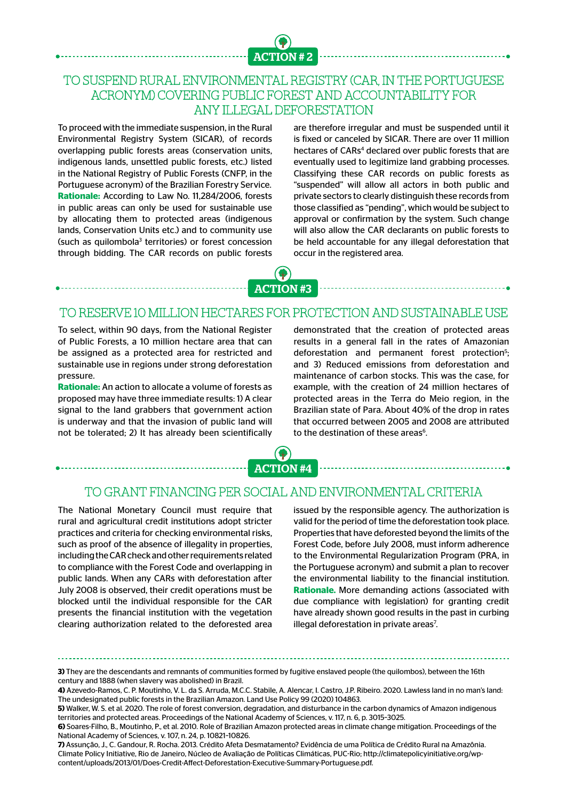

# TO SUSPEND RURAL ENVIRONMENTAL REGISTRY (CAR, IN THE PORTUGUESE ACRONYM) COVERING PUBLIC FOREST AND ACCOUNTABILITY FOR ANY ILLEGAL DEFORESTATION

To proceed with the immediate suspension, in the Rural Environmental Registry System (SICAR), of records overlapping public forests areas (conservation units, indigenous lands, unsettled public forests, etc.) listed in the National Registry of Public Forests (CNFP, in the Portuguese acronym) of the Brazilian Forestry Service. **Rationale:** According to Law No. 11,284/2006, forests in public areas can only be used for sustainable use by allocating them to protected areas (indigenous lands, Conservation Units etc.) and to community use (such as quilombola<sup>3</sup> territories) or forest concession through bidding. The CAR records on public forests

are therefore irregular and must be suspended until it is fixed or canceled by SICAR. There are over 11 million hectares of CARs<sup>4</sup> declared over public forests that are eventually used to legitimize land grabbing processes. Classifying these CAR records on public forests as "suspended" will allow all actors in both public and private sectors to clearly distinguish these records from those classified as "pending", which would be subject to approval or confirmation by the system. Such change will also allow the CAR declarants on public forests to be held accountable for any illegal deforestation that occur in the registered area.



#### TO RESERVE 10 MILLION HECTARES FOR PROTECTION AND SUSTAINABLE USE

To select, within 90 days, from the National Register of Public Forests, a 10 million hectare area that can be assigned as a protected area for restricted and sustainable use in regions under strong deforestation pressure.

**Rationale:** An action to allocate a volume of forests as proposed may have three immediate results: 1) A clear signal to the land grabbers that government action is underway and that the invasion of public land will not be tolerated; 2) It has already been scientifically

demonstrated that the creation of protected areas results in a general fall in the rates of Amazonian deforestation and permanent forest protection<sup>5</sup>; and 3) Reduced emissions from deforestation and maintenance of carbon stocks. This was the case, for example, with the creation of 24 million hectares of protected areas in the Terra do Meio region, in the Brazilian state of Para. About 40% of the drop in rates that occurred between 2005 and 2008 are attributed to the destination of these areas<sup>6</sup>.



#### TO GRANT FINANCING PER SOCIAL AND ENVIRONMENTAL CRITERIA

The National Monetary Council must require that rural and agricultural credit institutions adopt stricter practices and criteria for checking environmental risks, such as proof of the absence of illegality in properties, including the CAR check and other requirements related to compliance with the Forest Code and overlapping in public lands. When any CARs with deforestation after July 2008 is observed, their credit operations must be blocked until the individual responsible for the CAR presents the financial institution with the vegetation clearing authorization related to the deforested area

issued by the responsible agency. The authorization is valid for the period of time the deforestation took place. Properties that have deforested beyond the limits of the Forest Code, before July 2008, must inform adherence to the Environmental Regularization Program (PRA, in the Portuguese acronym) and submit a plan to recover the environmental liability to the financial institution. **Rationale.** More demanding actions (associated with due compliance with legislation) for granting credit have already shown good results in the past in curbing illegal deforestation in private areas<sup>7</sup>. .

**<sup>3)</sup>** They are the descendants and remnants of communities formed by fugitive enslaved people (the quilombos), between the 16th century and 1888 (when slavery was abolished) in Brazil.

**<sup>4)</sup>** Azevedo-Ramos, C. P. Moutinho, V. L. da S. Arruda, M.C.C. Stabile, A. Alencar, I. Castro, J.P. Ribeiro. 2020. Lawless land in no man's land: The undesignated public forests in the Brazilian Amazon. Land Use Policy 99 (2020) 104863.

**<sup>5)</sup>** Walker, W. S. et al. 2020. The role of forest conversion, degradation, and disturbance in the carbon dynamics of Amazon indigenous territories and protected areas. Proceedings of the National Academy of Sciences, v. 117, n. 6, p. 3015–3025.

**<sup>6)</sup>** Soares-Filho, B., Moutinho, P., et al. 2010. Role of Brazilian Amazon protected areas in climate change mitigation. Proceedings of the National Academy of Sciences, v. 107, n. 24, p. 10821–10826.

**<sup>7)</sup>** Assunção, J., C. Gandour, R. Rocha. 2013. Crédito Afeta Desmatamento? Evidência de uma Política de Crédito Rural na Amazônia. Climate Policy Initiative, Rio de Janeiro, Núcleo de Avaliação de Políticas Climáticas, PUC-Rio; http://climatepolicyinitiative.org/wpcontent/uploads/2013/01/Does-Credit-Affect-Deforestation-Executive-Summary-Portuguese.pdf.